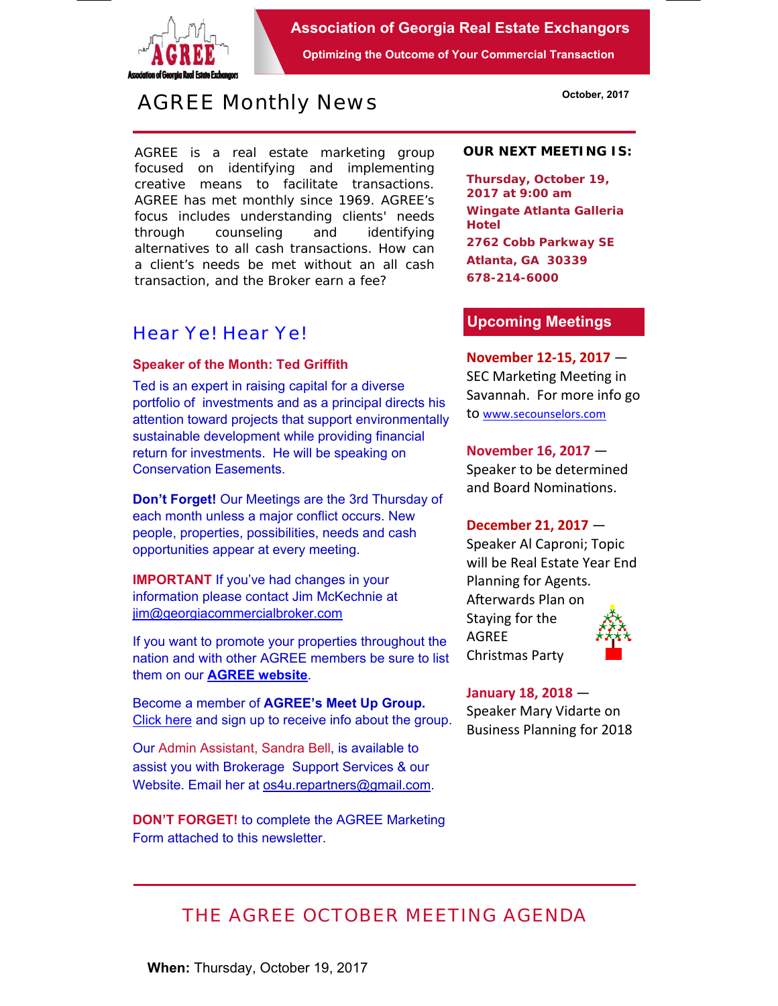

**Association of Georgia Real Estate Exchangors** 

**Optimizing the Outcome of Your Commercial Transaction** 

# *AGREE Monthly News*

AGREE is a real estate marketing group focused on identifying and implementing creative means to facilitate transactions. *AGREE has met monthly since 1969.* AGREE's focus includes understanding clients' needs through counseling and identifying alternatives to all cash transactions. How can a client's needs be met without an all cash transaction, and the Broker earn a fee?

## *Hear Ye! Hear Ye!*

#### **Speaker of the Month: Ted Griffith**

Ted is an expert in raising capital for a diverse portfolio of investments and as a principal directs his attention toward projects that support environmentally sustainable development while providing financial return for investments. He will be speaking on Conservation Easements.

**Don't Forget!** Our Meetings are the 3rd Thursday of each month unless a major conflict occurs. New people, properties, possibilities, needs and cash opportunities appear at every meeting.

**IMPORTANT** If you've had changes in your information please contact Jim McKechnie at jim@georgiacommercialbroker.com

If you want to promote your properties throughout the nation and with other AGREE members be sure to list them on our **AGREE website**.

Become a member of **AGREE's Meet Up Group.**  Click here and sign up to receive info about the group.

Our Admin Assistant, Sandra Bell, is available to assist you with Brokerage Support Services & our Website. Email her at os4u.repartners@gmail.com.

**DON'T FORGET!** to complete the AGREE Marketing Form attached to this newsletter.

#### **OUR NEXT MEETING IS:**

**Thursday, October 19, 2017 at 9:00 am Wingate Atlanta Galleria Hotel 2762 Cobb Parkway SE Atlanta, GA 30339 678-214-6000** 

#### **Upcoming Meetings**

**November 12‐15, 2017** — SEC Marketing Meeting in Savannah. For more info go to www.secounselors.com

**November 16, 2017** — Speaker to be determined and Board Nominations.

### **December 21, 2017** —

Speaker Al Caproni; Topic will be Real Estate Year End Planning for Agents. Afterwards Plan on Staying for the AGREE Christmas Party

**January 18, 2018** — Speaker Mary Vidarte on Business Planning for 2018

# *THE AGREE OCTOBER MEETING AGENDA*

**When:** Thursday, October 19, 2017

**October, 2017**